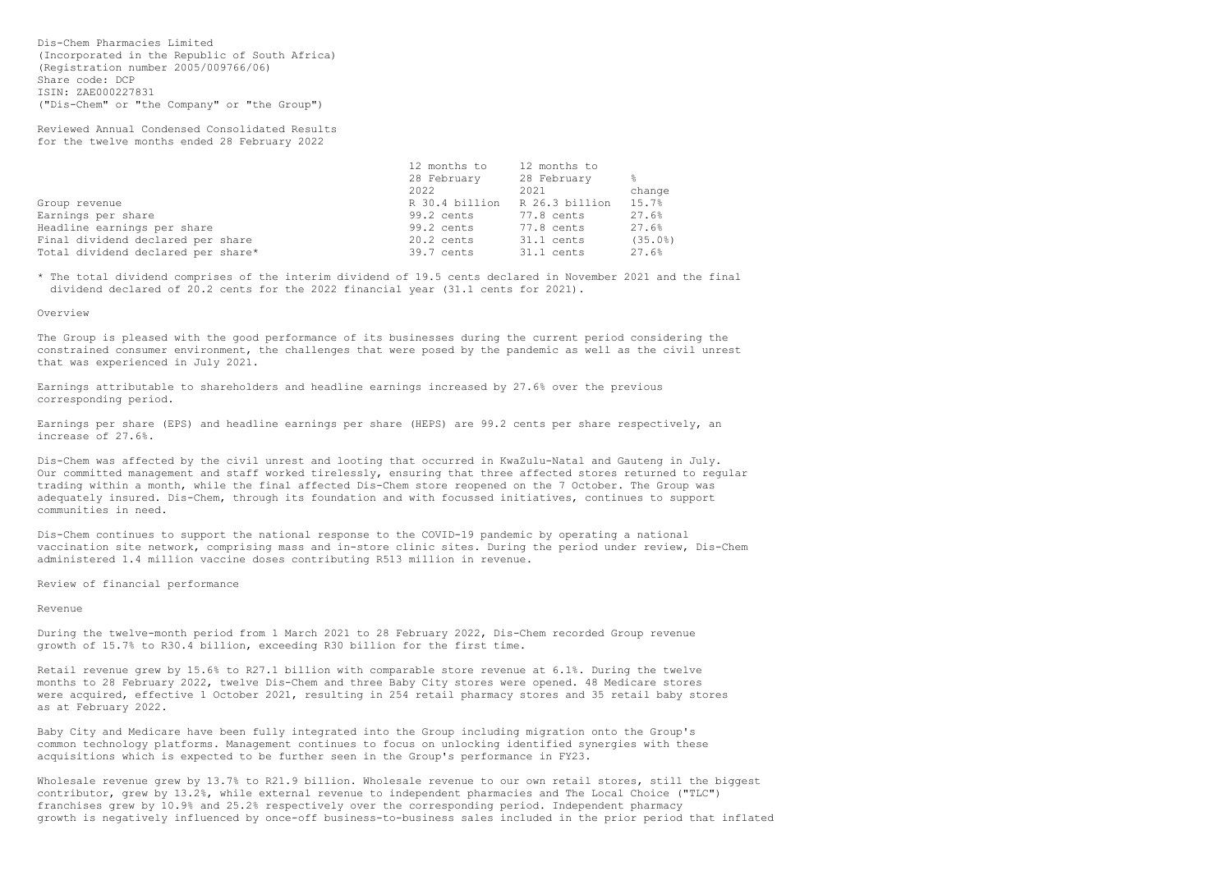Dis-Chem Pharmacies Limited (Incorporated in the Republic of South Africa) (Registration number 2005/009766/06) Share code: DCP ISIN: ZAE000227831 ("Dis-Chem" or "the Company" or "the Group")

Reviewed Annual Condensed Consolidated Results for the twelve months ended 28 February 2022

|                                    | 12 months to   | 12 months to   |               |
|------------------------------------|----------------|----------------|---------------|
|                                    | 28 February    | 28 February    | $\frac{6}{6}$ |
|                                    | 2022           | 2021           | change        |
| Group revenue                      | R 30.4 billion | R 26.3 billion | 15.7%         |
| Earnings per share                 | 99.2 cents     | 77.8 cents     | 27.6%         |
| Headline earnings per share        | 99.2 cents     | 77.8 cents     | 27.6%         |
| Final dividend declared per share  | $20.2$ cents   | 31.1 cents     | (35.0%)       |
| Total dividend declared per share* | 39.7 cents     | 31.1 cents     | 27.6%         |

\* The total dividend comprises of the interim dividend of 19.5 cents declared in November 2021 and the final dividend declared of 20.2 cents for the 2022 financial year (31.1 cents for 2021).

## Overview

The Group is pleased with the good performance of its businesses during the current period considering the constrained consumer environment, the challenges that were posed by the pandemic as well as the civil unrest that was experienced in July 2021.

Earnings attributable to shareholders and headline earnings increased by 27.6% over the previous corresponding period.

Earnings per share (EPS) and headline earnings per share (HEPS) are 99.2 cents per share respectively, an increase of 27.6%.

Dis-Chem was affected by the civil unrest and looting that occurred in KwaZulu-Natal and Gauteng in July. Our committed management and staff worked tirelessly, ensuring that three affected stores returned to regular trading within a month, while the final affected Dis-Chem store reopened on the 7 October. The Group was adequately insured. Dis-Chem, through its foundation and with focussed initiatives, continues to support communities in need.

Wholesale revenue grew by 13.7% to R21.9 billion. Wholesale revenue to our own retail stores, still the biggest contributor, grew by 13.2%, while external revenue to independent pharmacies and The Local Choice ("TLC") franchises grew by 10.9% and 25.2% respectively over the corresponding period. Independent pharmacy growth is negatively influenced by once-off business-to-business sales included in the prior period that inflated

Dis-Chem continues to support the national response to the COVID-19 pandemic by operating a national vaccination site network, comprising mass and in-store clinic sites. During the period under review, Dis-Chem administered 1.4 million vaccine doses contributing R513 million in revenue.

Review of financial performance

Revenue

During the twelve-month period from 1 March 2021 to 28 February 2022, Dis-Chem recorded Group revenue growth of 15.7% to R30.4 billion, exceeding R30 billion for the first time.

Retail revenue grew by 15.6% to R27.1 billion with comparable store revenue at 6.1%. During the twelve months to 28 February 2022, twelve Dis-Chem and three Baby City stores were opened. 48 Medicare stores were acquired, effective 1 October 2021, resulting in 254 retail pharmacy stores and 35 retail baby stores as at February 2022.

Baby City and Medicare have been fully integrated into the Group including migration onto the Group's common technology platforms. Management continues to focus on unlocking identified synergies with these acquisitions which is expected to be further seen in the Group's performance in FY23.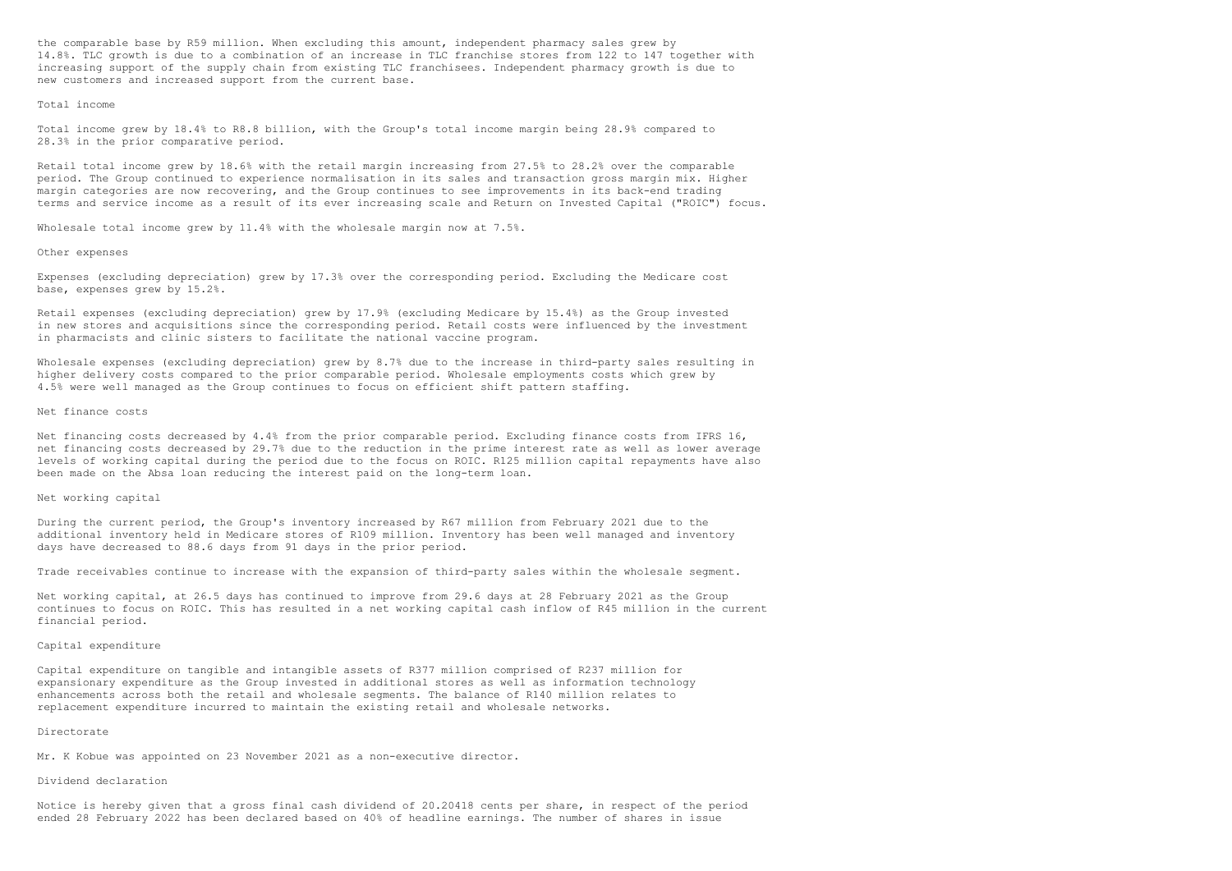the comparable base by R59 million. When excluding this amount, independent pharmacy sales grew by 14.8%. TLC growth is due to a combination of an increase in TLC franchise stores from 122 to 147 together with increasing support of the supply chain from existing TLC franchisees. Independent pharmacy growth is due to new customers and increased support from the current base.

### Total income

Total income grew by 18.4% to R8.8 billion, with the Group's total income margin being 28.9% compared to 28.3% in the prior comparative period.

Retail total income grew by 18.6% with the retail margin increasing from 27.5% to 28.2% over the comparable period. The Group continued to experience normalisation in its sales and transaction gross margin mix. Higher margin categories are now recovering, and the Group continues to see improvements in its back-end trading terms and service income as a result of its ever increasing scale and Return on Invested Capital ("ROIC") focus.

Wholesale total income grew by 11.4% with the wholesale margin now at 7.5%.

#### Other expenses

Expenses (excluding depreciation) grew by 17.3% over the corresponding period. Excluding the Medicare cost base, expenses grew by 15.2%.

Retail expenses (excluding depreciation) grew by 17.9% (excluding Medicare by 15.4%) as the Group invested in new stores and acquisitions since the corresponding period. Retail costs were influenced by the investment in pharmacists and clinic sisters to facilitate the national vaccine program.

Wholesale expenses (excluding depreciation) grew by 8.7% due to the increase in third-party sales resulting in higher delivery costs compared to the prior comparable period. Wholesale employments costs which grew by 4.5% were well managed as the Group continues to focus on efficient shift pattern staffing.

#### Net finance costs

Net financing costs decreased by 4.4% from the prior comparable period. Excluding finance costs from IFRS 16, net financing costs decreased by 29.7% due to the reduction in the prime interest rate as well as lower average levels of working capital during the period due to the focus on ROIC. R125 million capital repayments have also been made on the Absa loan reducing the interest paid on the long-term loan.

# Net working capital

During the current period, the Group's inventory increased by R67 million from February 2021 due to the additional inventory held in Medicare stores of R109 million. Inventory has been well managed and inventory days have decreased to 88.6 days from 91 days in the prior period.

Trade receivables continue to increase with the expansion of third-party sales within the wholesale segment.

Net working capital, at 26.5 days has continued to improve from 29.6 days at 28 February 2021 as the Group continues to focus on ROIC. This has resulted in a net working capital cash inflow of R45 million in the current financial period.

## Capital expenditure

Capital expenditure on tangible and intangible assets of R377 million comprised of R237 million for expansionary expenditure as the Group invested in additional stores as well as information technology enhancements across both the retail and wholesale segments. The balance of R140 million relates to replacement expenditure incurred to maintain the existing retail and wholesale networks.

### Directorate

Mr. K Kobue was appointed on 23 November 2021 as a non-executive director.

#### Dividend declaration

Notice is hereby given that a gross final cash dividend of 20.20418 cents per share, in respect of the period ended 28 February 2022 has been declared based on 40% of headline earnings. The number of shares in issue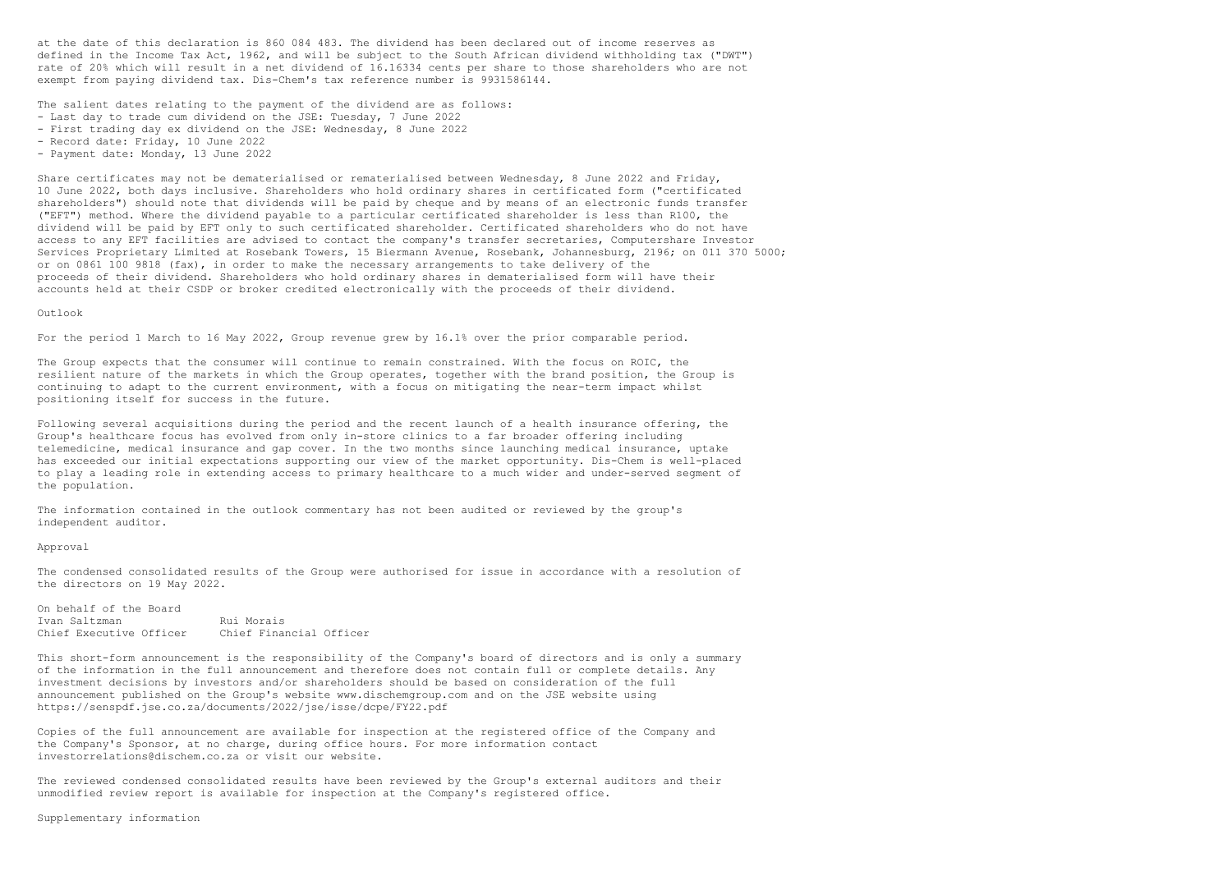at the date of this declaration is 860 084 483. The dividend has been declared out of income reserves as defined in the Income Tax Act, 1962, and will be subject to the South African dividend withholding tax ("DWT") rate of 20% which will result in a net dividend of 16.16334 cents per share to those shareholders who are not exempt from paying dividend tax. Dis-Chem's tax reference number is 9931586144.

The salient dates relating to the payment of the dividend are as follows:

- Last day to trade cum dividend on the JSE: Tuesday, 7 June 2022
- First trading day ex dividend on the JSE: Wednesday, 8 June 2022
- Record date: Friday, 10 June 2022
- Payment date: Monday, 13 June 2022

Share certificates may not be dematerialised or rematerialised between Wednesday, 8 June 2022 and Friday, 10 June 2022, both days inclusive. Shareholders who hold ordinary shares in certificated form ("certificated shareholders") should note that dividends will be paid by cheque and by means of an electronic funds transfer ("EFT") method. Where the dividend payable to a particular certificated shareholder is less than R100, the dividend will be paid by EFT only to such certificated shareholder. Certificated shareholders who do not have access to any EFT facilities are advised to contact the company's transfer secretaries, Computershare Investor Services Proprietary Limited at Rosebank Towers, 15 Biermann Avenue, Rosebank, Johannesburg, 2196; on 011 370 5000; or on 0861 100 9818 (fax), in order to make the necessary arrangements to take delivery of the proceeds of their dividend. Shareholders who hold ordinary shares in dematerialised form will have their accounts held at their CSDP or broker credited electronically with the proceeds of their dividend.

On behalf of the Board Ivan Saltzman Rui Morais<br>Chief Executive Officer Chief Finan Chief Financial Officer

# Outlook

For the period 1 March to 16 May 2022, Group revenue grew by 16.1% over the prior comparable period.

The Group expects that the consumer will continue to remain constrained. With the focus on ROIC, the resilient nature of the markets in which the Group operates, together with the brand position, the Group is continuing to adapt to the current environment, with a focus on mitigating the near-term impact whilst positioning itself for success in the future.

Following several acquisitions during the period and the recent launch of a health insurance offering, the Group's healthcare focus has evolved from only in-store clinics to a far broader offering including telemedicine, medical insurance and gap cover. In the two months since launching medical insurance, uptake has exceeded our initial expectations supporting our view of the market opportunity. Dis-Chem is well-placed to play a leading role in extending access to primary healthcare to a much wider and under-served segment of the population.

The information contained in the outlook commentary has not been audited or reviewed by the group's independent auditor.

#### Approval

The condensed consolidated results of the Group were authorised for issue in accordance with a resolution of the directors on 19 May 2022.

This short-form announcement is the responsibility of the Company's board of directors and is only a summary of the information in the full announcement and therefore does not contain full or complete details. Any investment decisions by investors and/or shareholders should be based on consideration of the full announcement published on the Group's website www.dischemgroup.com and on the JSE website using https://senspdf.jse.co.za/documents/2022/jse/isse/dcpe/FY22.pdf

Copies of the full announcement are available for inspection at the registered office of the Company and the Company's Sponsor, at no charge, during office hours. For more information contact investorrelations@dischem.co.za or visit our website.

The reviewed condensed consolidated results have been reviewed by the Group's external auditors and their unmodified review report is available for inspection at the Company's registered office.